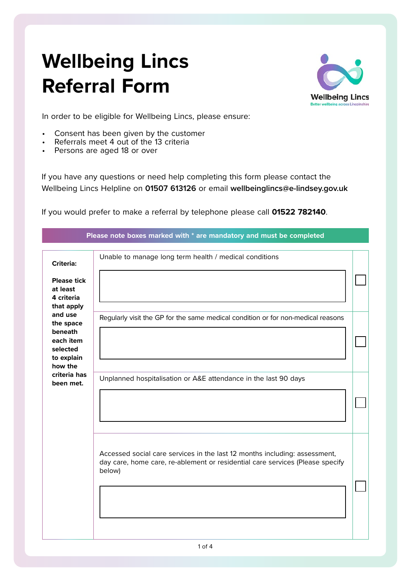## **Wellbeing Lincs Referral Form**



In order to be eligible for Wellbeing Lincs, please ensure:

- Consent has been given by the customer
- Referrals meet 4 out of the 13 criteria
- Persons are aged 18 or over

If you have any questions or need help completing this form please contact the Wellbeing Lincs Helpline on **01507 613126** or email **wellbeinglincs@e-lindsey.gov.uk** 

If you would prefer to make a referral by telephone please call **01522 782140**.

|                                                                                   | Please note boxes marked with * are mandatory and must be completed                                                                                                   |  |
|-----------------------------------------------------------------------------------|-----------------------------------------------------------------------------------------------------------------------------------------------------------------------|--|
| <b>Criteria:</b><br><b>Please tick</b><br>at least<br>4 criteria<br>that apply    | Unable to manage long term health / medical conditions                                                                                                                |  |
| and use<br>the space<br>beneath<br>each item<br>selected<br>to explain<br>how the | Regularly visit the GP for the same medical condition or for non-medical reasons                                                                                      |  |
| criteria has<br>been met.                                                         | Unplanned hospitalisation or A&E attendance in the last 90 days                                                                                                       |  |
|                                                                                   | Accessed social care services in the last 12 months including: assessment,<br>day care, home care, re-ablement or residential care services (Please specify<br>below) |  |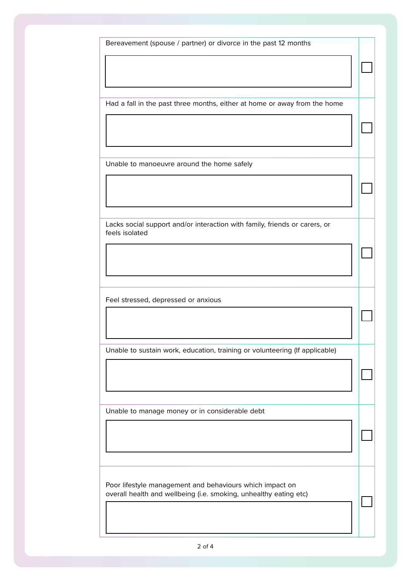Bereavement (spouse / partner) or divorce in the past 12 months

Had a fall in the past three months, either at home or away from the home

Unable to manoeuvre around the home safely

Lacks social support and/or interaction with family, friends or carers, or feels isolated

Feel stressed, depressed or anxious

Unable to sustain work, education, training or volunteering (If applicable)

Unable to manage money or in considerable debt

Poor lifestyle management and behaviours which impact on overall health and wellbeing (i.e. smoking, unhealthy eating etc)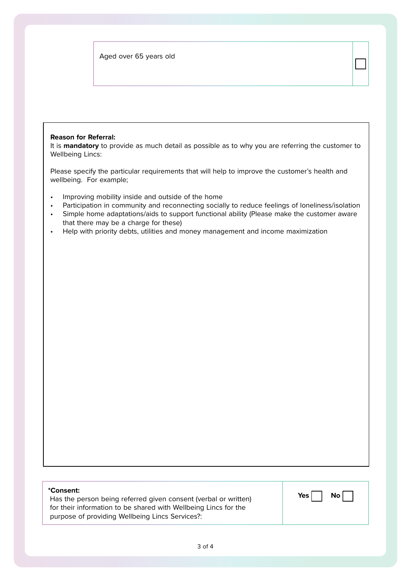Aged over 65 years old

## **Reason for Referral:**

 $\overline{a}$ 

It is **mandatory** to provide as much detail as possible as to why you are referring the customer to Wellbeing Lincs:

Please specify the particular requirements that will help to improve the customer's health and wellbeing. For example;

- Improving mobility inside and outside of the home
- Participation in community and reconnecting socially to reduce feelings of loneliness/isolation
- Simple home adaptations/aids to support functional ability (Please make the customer aware that there may be a charge for these)
- Help with priority debts, utilities and money management and income maximization

## **\*Consent:**

Has the person being referred given consent (verbal or written) for their information to be shared with Wellbeing Lincs for the purpose of providing Wellbeing Lincs Services?:

| -- |  |
|----|--|
|    |  |
|    |  |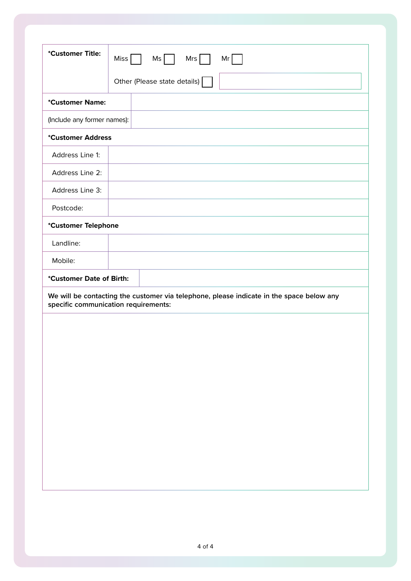| *Customer Title:                                                                                                                 |                                        |  |  |  |  |
|----------------------------------------------------------------------------------------------------------------------------------|----------------------------------------|--|--|--|--|
|                                                                                                                                  | Miss <sup>1</sup><br>Ms<br>Mrs  <br>Mr |  |  |  |  |
|                                                                                                                                  | Other (Please state details)           |  |  |  |  |
| *Customer Name:                                                                                                                  |                                        |  |  |  |  |
| (Include any former names):                                                                                                      |                                        |  |  |  |  |
| *Customer Address                                                                                                                |                                        |  |  |  |  |
| Address Line 1:                                                                                                                  |                                        |  |  |  |  |
| Address Line 2:                                                                                                                  |                                        |  |  |  |  |
| Address Line 3:                                                                                                                  |                                        |  |  |  |  |
| Postcode:                                                                                                                        |                                        |  |  |  |  |
| *Customer Telephone                                                                                                              |                                        |  |  |  |  |
| Landline:                                                                                                                        |                                        |  |  |  |  |
| Mobile:                                                                                                                          |                                        |  |  |  |  |
| *Customer Date of Birth:                                                                                                         |                                        |  |  |  |  |
| We will be contacting the customer via telephone, please indicate in the space below any<br>specific communication requirements: |                                        |  |  |  |  |
|                                                                                                                                  |                                        |  |  |  |  |
|                                                                                                                                  |                                        |  |  |  |  |
|                                                                                                                                  |                                        |  |  |  |  |
|                                                                                                                                  |                                        |  |  |  |  |
|                                                                                                                                  |                                        |  |  |  |  |
|                                                                                                                                  |                                        |  |  |  |  |
|                                                                                                                                  |                                        |  |  |  |  |
|                                                                                                                                  |                                        |  |  |  |  |
|                                                                                                                                  |                                        |  |  |  |  |
|                                                                                                                                  |                                        |  |  |  |  |
|                                                                                                                                  |                                        |  |  |  |  |